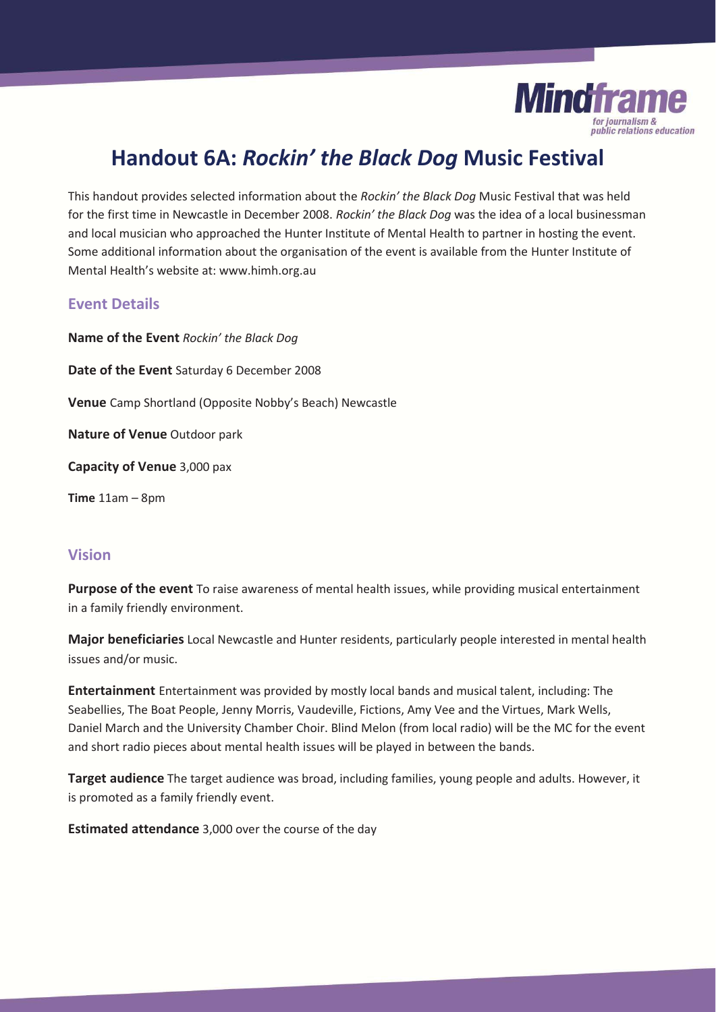

# **Handout 6A:** *Rockin' the Black Dog* **Music Festival**

This handout provides selected information about the *Rockin' the Black Dog* Music Festival that was held for the first time in Newcastle in December 2008. *Rockin' the Black Dog* was the idea of a local businessman and local musician who approached the Hunter Institute of Mental Health to partner in hosting the event. Some additional information about the organisation of the event is available from the Hunter Institute of Mental Health's website at: www.himh.org.au

#### **Event Details**

**Name of the Event** *Rockin' the Black Dog*  **Date of the Event** Saturday 6 December 2008 **Venue** Camp Shortland (Opposite Nobby's Beach) Newcastle **Nature of Venue** Outdoor park **Capacity of Venue** 3,000 pax **Time** 11am – 8pm

# **Vision**

**Purpose of the event** To raise awareness of mental health issues, while providing musical entertainment in a family friendly environment.

**Major beneficiaries** Local Newcastle and Hunter residents, particularly people interested in mental health issues and/or music.

**Entertainment** Entertainment was provided by mostly local bands and musical talent, including: The Seabellies, The Boat People, Jenny Morris, Vaudeville, Fictions, Amy Vee and the Virtues, Mark Wells, Daniel March and the University Chamber Choir. Blind Melon (from local radio) will be the MC for the event and short radio pieces about mental health issues will be played in between the bands.

**Target audience** The target audience was broad, including families, young people and adults. However, it is promoted as a family friendly event.

**Estimated attendance** 3,000 over the course of the day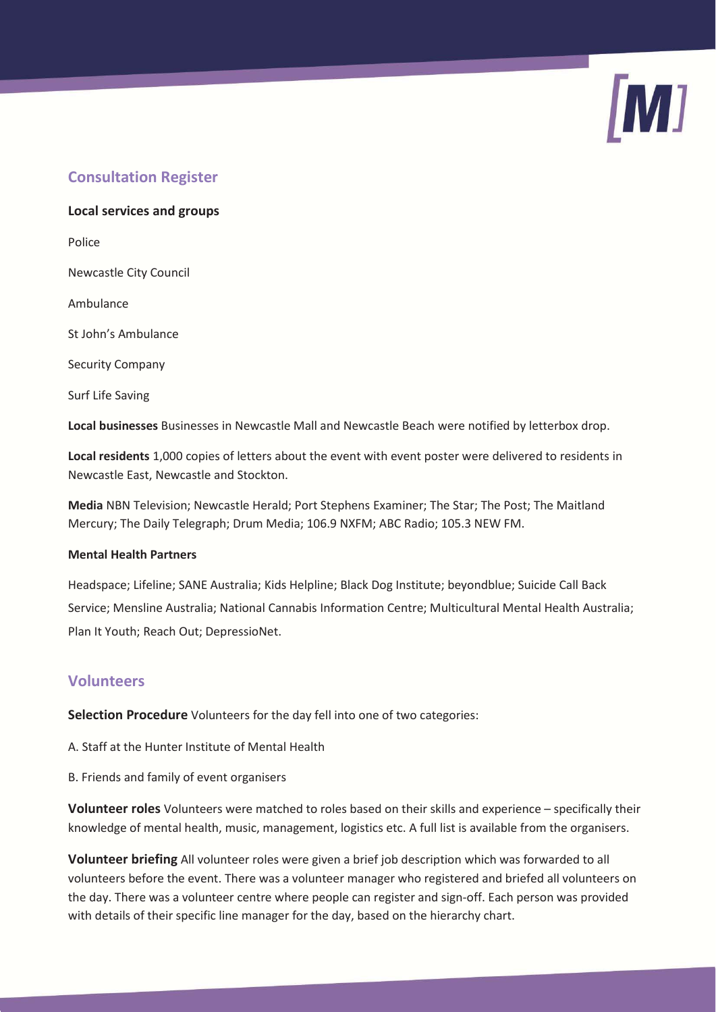# **Consultation Register**

**Local services and groups**  Police Newcastle City Council Ambulance

St John's Ambulance

Security Company

Surf Life Saving

**Local businesses** Businesses in Newcastle Mall and Newcastle Beach were notified by letterbox drop.

**Local residents** 1,000 copies of letters about the event with event poster were delivered to residents in Newcastle East, Newcastle and Stockton.

**Media** NBN Television; Newcastle Herald; Port Stephens Examiner; The Star; The Post; The Maitland Mercury; The Daily Telegraph; Drum Media; 106.9 NXFM; ABC Radio; 105.3 NEW FM.

#### **Mental Health Partners**

Headspace; Lifeline; SANE Australia; Kids Helpline; Black Dog Institute; beyondblue; Suicide Call Back Service; Mensline Australia; National Cannabis Information Centre; Multicultural Mental Health Australia; Plan It Youth; Reach Out; DepressioNet.

# **Volunteers**

**Selection Procedure** Volunteers for the day fell into one of two categories:

A. Staff at the Hunter Institute of Mental Health

B. Friends and family of event organisers

**Volunteer roles** Volunteers were matched to roles based on their skills and experience – specifically their knowledge of mental health, music, management, logistics etc. A full list is available from the organisers.

**Volunteer briefing** All volunteer roles were given a brief job description which was forwarded to all volunteers before the event. There was a volunteer manager who registered and briefed all volunteers on the day. There was a volunteer centre where people can register and sign-off. Each person was provided with details of their specific line manager for the day, based on the hierarchy chart.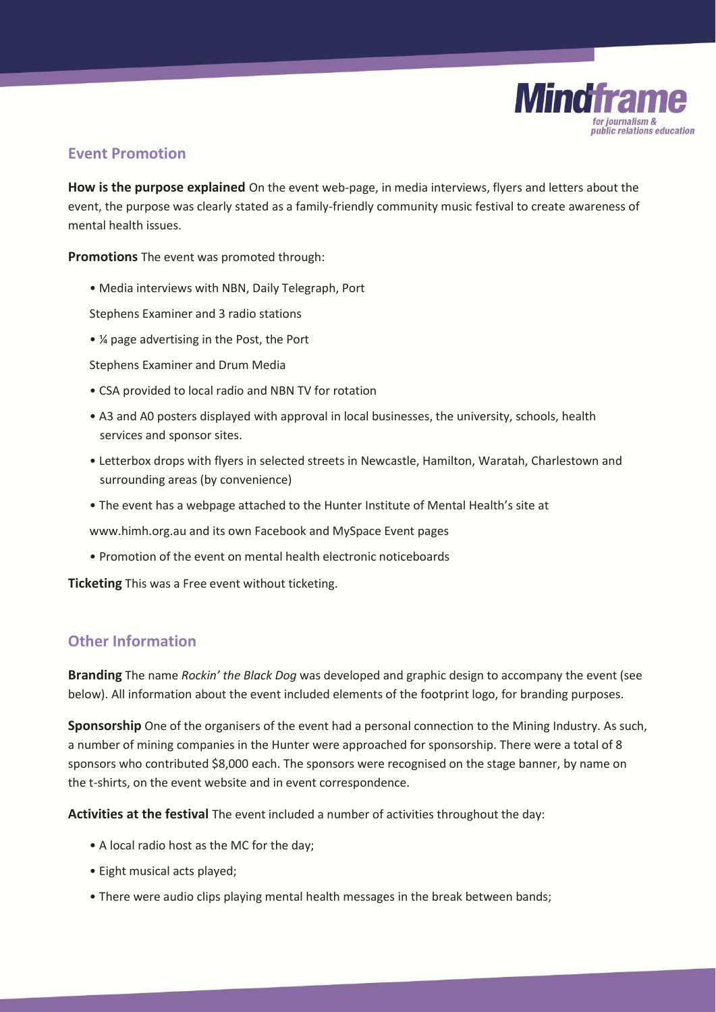

#### **Event Promotion**

**How is the purpose explained** On the event web-page, in media interviews, flyers and letters about the event, the purpose was clearly stated as a family-friendly community music festival to create awareness of mental health issues.

**Promotions** The event was promoted through:

• Media interviews with NBN, Daily Telegraph, Port

Stephens Examiner and 3 radio stations

• ¼ page advertising in the Post, the Port

Stephens Examiner and Drum Media

- CSA provided to local radio and NBN TV for rotation
- A3 and A0 posters displayed with approval in local businesses, the university, schools, health services and sponsor sites.
- Letterbox drops with flyers in selected streets in Newcastle, Hamilton, Waratah, Charlestown and surrounding areas (by convenience)
- The event has a webpage attached to the Hunter Institute of Mental Health's site at

www.himh.org.au and its own Facebook and MySpace Event pages

• Promotion of the event on mental health electronic noticeboards

**Ticketing** This was a Free event without ticketing.

# **Other Information**

**Branding** The name *Rockin' the Black Dog* was developed and graphic design to accompany the event (see below). All information about the event included elements of the footprint logo, for branding purposes.

**Sponsorship** One of the organisers of the event had a personal connection to the Mining Industry. As such, a number of mining companies in the Hunter were approached for sponsorship. There were a total of 8 sponsors who contributed \$8,000 each. The sponsors were recognised on the stage banner, by name on the t-shirts, on the event website and in event correspondence.

**Activities at the festival** The event included a number of activities throughout the day:

- A local radio host as the MC for the day;
- Eight musical acts played;
- There were audio clips playing mental health messages in the break between bands;